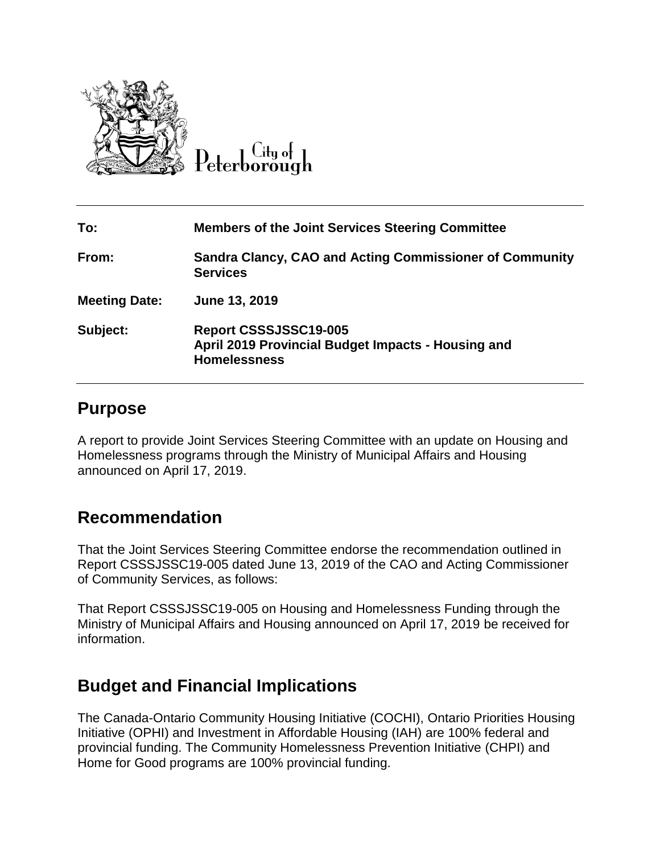

City of Peterborough

| To:                  | <b>Members of the Joint Services Steering Committee</b>                                            |
|----------------------|----------------------------------------------------------------------------------------------------|
| From:                | Sandra Clancy, CAO and Acting Commissioner of Community<br><b>Services</b>                         |
| <b>Meeting Date:</b> | June 13, 2019                                                                                      |
| Subject:             | Report CSSSJSSC19-005<br>April 2019 Provincial Budget Impacts - Housing and<br><b>Homelessness</b> |

## **Purpose**

A report to provide Joint Services Steering Committee with an update on Housing and Homelessness programs through the Ministry of Municipal Affairs and Housing announced on April 17, 2019.

## **Recommendation**

That the Joint Services Steering Committee endorse the recommendation outlined in Report CSSSJSSC19-005 dated June 13, 2019 of the CAO and Acting Commissioner of Community Services, as follows:

That Report CSSSJSSC19-005 on Housing and Homelessness Funding through the Ministry of Municipal Affairs and Housing announced on April 17, 2019 be received for information.

# **Budget and Financial Implications**

The Canada-Ontario Community Housing Initiative (COCHI), Ontario Priorities Housing Initiative (OPHI) and Investment in Affordable Housing (IAH) are 100% federal and provincial funding. The Community Homelessness Prevention Initiative (CHPI) and Home for Good programs are 100% provincial funding.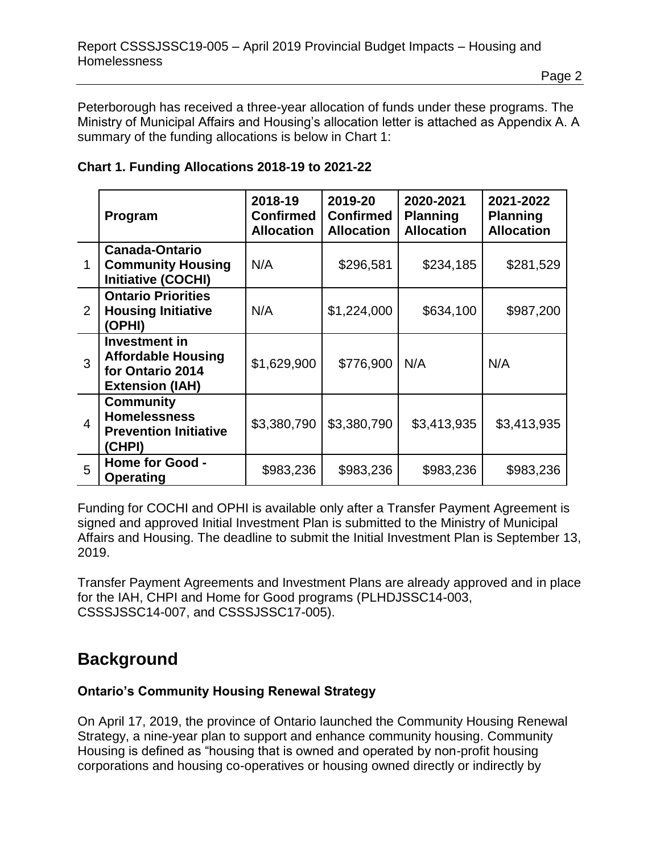Peterborough has received a three-year allocation of funds under these programs. The Ministry of Municipal Affairs and Housing's allocation letter is attached as Appendix A. A summary of the funding allocations is below in Chart 1:

#### **Chart 1. Funding Allocations 2018-19 to 2021-22**

|                | Program                                                                                         | 2018-19<br><b>Confirmed</b><br><b>Allocation</b> | 2019-20<br><b>Confirmed</b><br><b>Allocation</b> | 2020-2021<br><b>Planning</b><br><b>Allocation</b> | 2021-2022<br><b>Planning</b><br><b>Allocation</b> |
|----------------|-------------------------------------------------------------------------------------------------|--------------------------------------------------|--------------------------------------------------|---------------------------------------------------|---------------------------------------------------|
|                | <b>Canada-Ontario</b><br><b>Community Housing</b><br><b>Initiative (COCHI)</b>                  | N/A                                              | \$296,581                                        | \$234,185                                         | \$281,529                                         |
| $\overline{2}$ | <b>Ontario Priorities</b><br><b>Housing Initiative</b><br>(OPHI)                                | N/A                                              | \$1,224,000                                      | \$634,100                                         | \$987,200                                         |
| 3              | <b>Investment in</b><br><b>Affordable Housing</b><br>for Ontario 2014<br><b>Extension (IAH)</b> | \$1,629,900                                      | \$776,900                                        | N/A                                               | N/A                                               |
| $\overline{4}$ | <b>Community</b><br><b>Homelessness</b><br><b>Prevention Initiative</b><br>(CHPI)               | \$3,380,790                                      | \$3,380,790                                      | \$3,413,935                                       | \$3,413,935                                       |
| 5              | <b>Home for Good -</b><br><b>Operating</b>                                                      | \$983,236                                        | \$983,236                                        | \$983,236                                         | \$983,236                                         |

Funding for COCHI and OPHI is available only after a Transfer Payment Agreement is signed and approved Initial Investment Plan is submitted to the Ministry of Municipal Affairs and Housing. The deadline to submit the Initial Investment Plan is September 13, 2019.

Transfer Payment Agreements and Investment Plans are already approved and in place for the IAH, CHPI and Home for Good programs (PLHDJSSC14-003, CSSSJSSC14-007, and CSSSJSSC17-005).

# **Background**

#### **Ontario's Community Housing Renewal Strategy**

On April 17, 2019, the province of Ontario launched the Community Housing Renewal Strategy, a nine-year plan to support and enhance community housing. Community Housing is defined as "housing that is owned and operated by non-profit housing corporations and housing co-operatives or housing owned directly or indirectly by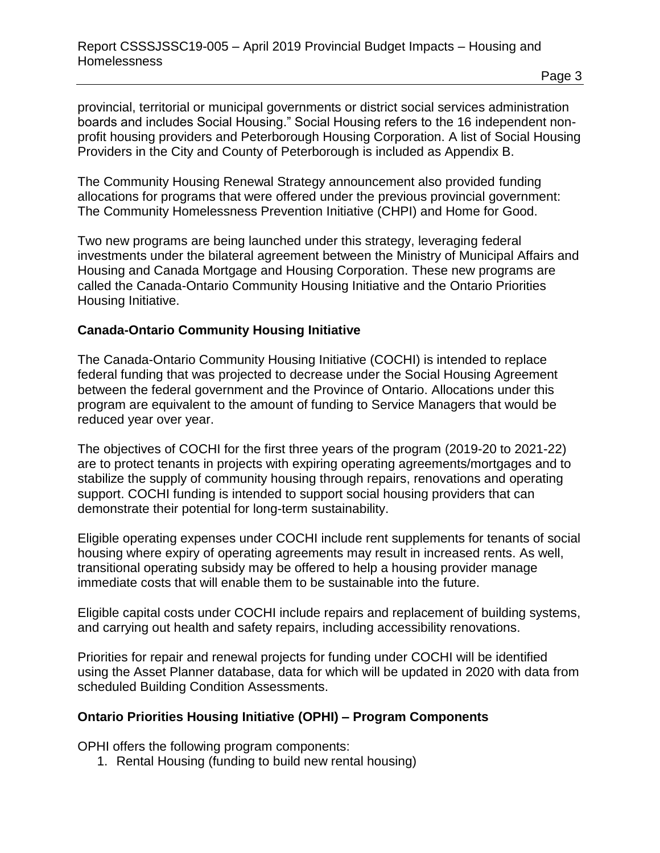provincial, territorial or municipal governments or district social services administration boards and includes Social Housing." Social Housing refers to the 16 independent nonprofit housing providers and Peterborough Housing Corporation. A list of Social Housing Providers in the City and County of Peterborough is included as Appendix B.

The Community Housing Renewal Strategy announcement also provided funding allocations for programs that were offered under the previous provincial government: The Community Homelessness Prevention Initiative (CHPI) and Home for Good.

Two new programs are being launched under this strategy, leveraging federal investments under the bilateral agreement between the Ministry of Municipal Affairs and Housing and Canada Mortgage and Housing Corporation. These new programs are called the Canada-Ontario Community Housing Initiative and the Ontario Priorities Housing Initiative.

#### **Canada-Ontario Community Housing Initiative**

The Canada-Ontario Community Housing Initiative (COCHI) is intended to replace federal funding that was projected to decrease under the Social Housing Agreement between the federal government and the Province of Ontario. Allocations under this program are equivalent to the amount of funding to Service Managers that would be reduced year over year.

The objectives of COCHI for the first three years of the program (2019-20 to 2021-22) are to protect tenants in projects with expiring operating agreements/mortgages and to stabilize the supply of community housing through repairs, renovations and operating support. COCHI funding is intended to support social housing providers that can demonstrate their potential for long-term sustainability.

Eligible operating expenses under COCHI include rent supplements for tenants of social housing where expiry of operating agreements may result in increased rents. As well, transitional operating subsidy may be offered to help a housing provider manage immediate costs that will enable them to be sustainable into the future.

Eligible capital costs under COCHI include repairs and replacement of building systems, and carrying out health and safety repairs, including accessibility renovations.

Priorities for repair and renewal projects for funding under COCHI will be identified using the Asset Planner database, data for which will be updated in 2020 with data from scheduled Building Condition Assessments.

#### **Ontario Priorities Housing Initiative (OPHI) – Program Components**

OPHI offers the following program components:

1. Rental Housing (funding to build new rental housing)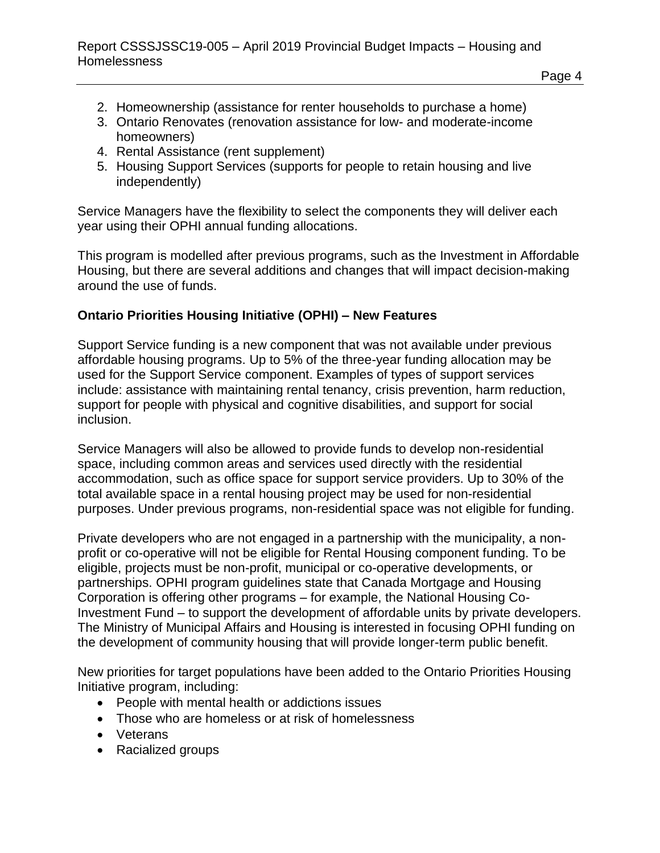- Page 4
- 2. Homeownership (assistance for renter households to purchase a home)
- 3. Ontario Renovates (renovation assistance for low- and moderate-income homeowners)
- 4. Rental Assistance (rent supplement)
- 5. Housing Support Services (supports for people to retain housing and live independently)

Service Managers have the flexibility to select the components they will deliver each year using their OPHI annual funding allocations.

This program is modelled after previous programs, such as the Investment in Affordable Housing, but there are several additions and changes that will impact decision-making around the use of funds.

#### **Ontario Priorities Housing Initiative (OPHI) – New Features**

Support Service funding is a new component that was not available under previous affordable housing programs. Up to 5% of the three-year funding allocation may be used for the Support Service component. Examples of types of support services include: assistance with maintaining rental tenancy, crisis prevention, harm reduction, support for people with physical and cognitive disabilities, and support for social inclusion.

Service Managers will also be allowed to provide funds to develop non-residential space, including common areas and services used directly with the residential accommodation, such as office space for support service providers. Up to 30% of the total available space in a rental housing project may be used for non-residential purposes. Under previous programs, non-residential space was not eligible for funding.

Private developers who are not engaged in a partnership with the municipality, a nonprofit or co-operative will not be eligible for Rental Housing component funding. To be eligible, projects must be non-profit, municipal or co-operative developments, or partnerships. OPHI program guidelines state that Canada Mortgage and Housing Corporation is offering other programs – for example, the National Housing Co-Investment Fund – to support the development of affordable units by private developers. The Ministry of Municipal Affairs and Housing is interested in focusing OPHI funding on the development of community housing that will provide longer-term public benefit.

New priorities for target populations have been added to the Ontario Priorities Housing Initiative program, including:

- People with mental health or addictions issues
- Those who are homeless or at risk of homelessness
- Veterans
- Racialized groups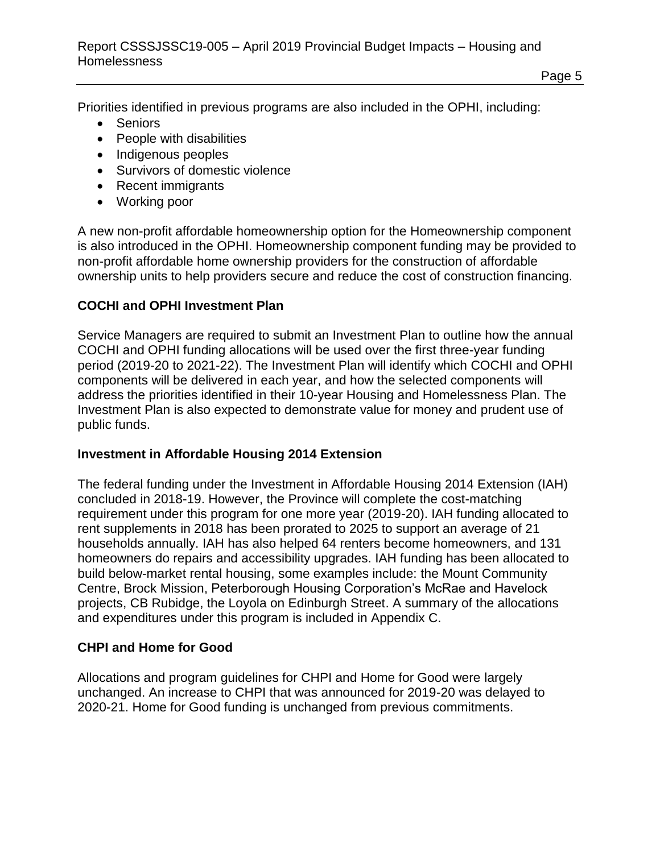Priorities identified in previous programs are also included in the OPHI, including:

- Seniors
- People with disabilities
- Indigenous peoples
- Survivors of domestic violence
- Recent immigrants
- Working poor

A new non-profit affordable homeownership option for the Homeownership component is also introduced in the OPHI. Homeownership component funding may be provided to non-profit affordable home ownership providers for the construction of affordable ownership units to help providers secure and reduce the cost of construction financing.

## **COCHI and OPHI Investment Plan**

Service Managers are required to submit an Investment Plan to outline how the annual COCHI and OPHI funding allocations will be used over the first three-year funding period (2019-20 to 2021-22). The Investment Plan will identify which COCHI and OPHI components will be delivered in each year, and how the selected components will address the priorities identified in their 10-year Housing and Homelessness Plan. The Investment Plan is also expected to demonstrate value for money and prudent use of public funds.

### **Investment in Affordable Housing 2014 Extension**

The federal funding under the Investment in Affordable Housing 2014 Extension (IAH) concluded in 2018-19. However, the Province will complete the cost-matching requirement under this program for one more year (2019-20). IAH funding allocated to rent supplements in 2018 has been prorated to 2025 to support an average of 21 households annually. IAH has also helped 64 renters become homeowners, and 131 homeowners do repairs and accessibility upgrades. IAH funding has been allocated to build below-market rental housing, some examples include: the Mount Community Centre, Brock Mission, Peterborough Housing Corporation's McRae and Havelock projects, CB Rubidge, the Loyola on Edinburgh Street. A summary of the allocations and expenditures under this program is included in Appendix C.

### **CHPI and Home for Good**

Allocations and program guidelines for CHPI and Home for Good were largely unchanged. An increase to CHPI that was announced for 2019-20 was delayed to 2020-21. Home for Good funding is unchanged from previous commitments.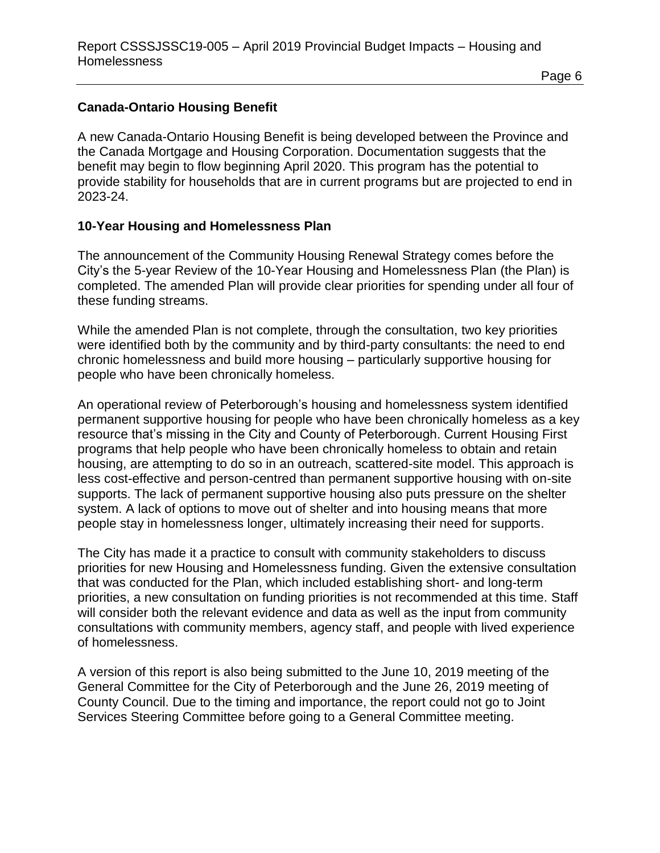#### **Canada-Ontario Housing Benefit**

A new Canada-Ontario Housing Benefit is being developed between the Province and the Canada Mortgage and Housing Corporation. Documentation suggests that the benefit may begin to flow beginning April 2020. This program has the potential to provide stability for households that are in current programs but are projected to end in 2023-24.

### **10-Year Housing and Homelessness Plan**

The announcement of the Community Housing Renewal Strategy comes before the City's the 5-year Review of the 10-Year Housing and Homelessness Plan (the Plan) is completed. The amended Plan will provide clear priorities for spending under all four of these funding streams.

While the amended Plan is not complete, through the consultation, two key priorities were identified both by the community and by third-party consultants: the need to end chronic homelessness and build more housing – particularly supportive housing for people who have been chronically homeless.

An operational review of Peterborough's housing and homelessness system identified permanent supportive housing for people who have been chronically homeless as a key resource that's missing in the City and County of Peterborough. Current Housing First programs that help people who have been chronically homeless to obtain and retain housing, are attempting to do so in an outreach, scattered-site model. This approach is less cost-effective and person-centred than permanent supportive housing with on-site supports. The lack of permanent supportive housing also puts pressure on the shelter system. A lack of options to move out of shelter and into housing means that more people stay in homelessness longer, ultimately increasing their need for supports.

The City has made it a practice to consult with community stakeholders to discuss priorities for new Housing and Homelessness funding. Given the extensive consultation that was conducted for the Plan, which included establishing short- and long-term priorities, a new consultation on funding priorities is not recommended at this time. Staff will consider both the relevant evidence and data as well as the input from community consultations with community members, agency staff, and people with lived experience of homelessness.

A version of this report is also being submitted to the June 10, 2019 meeting of the General Committee for the City of Peterborough and the June 26, 2019 meeting of County Council. Due to the timing and importance, the report could not go to Joint Services Steering Committee before going to a General Committee meeting.